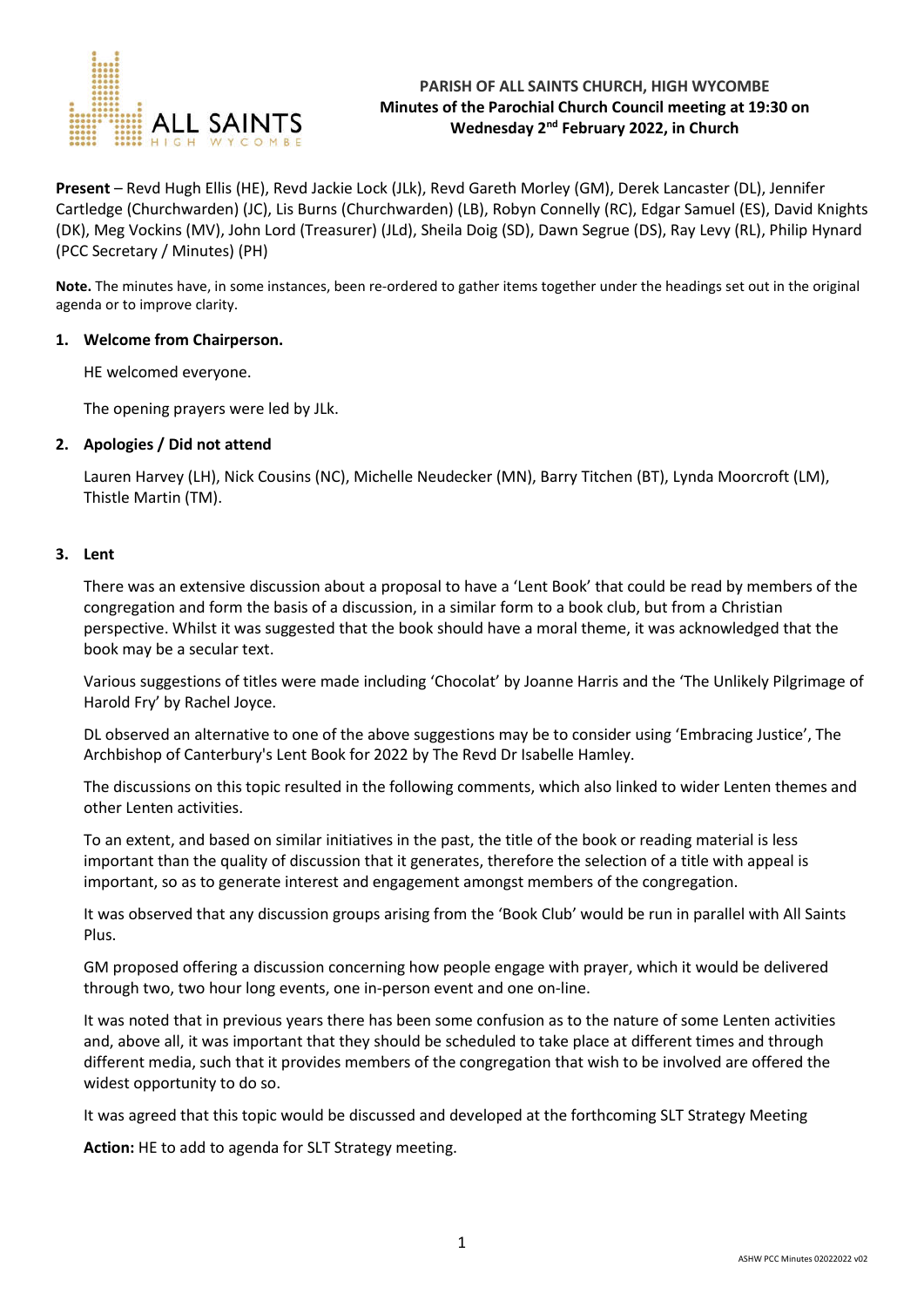

# **PARISH OF ALL SAINTS CHURCH, HIGH WYCOMBE Minutes of the Parochial Church Council meeting at 19:30 on Wednesday 2nd February 2022, in Church**

**Present** – Revd Hugh Ellis (HE), Revd Jackie Lock (JLk), Revd Gareth Morley (GM), Derek Lancaster (DL), Jennifer Cartledge (Churchwarden) (JC), Lis Burns (Churchwarden) (LB), Robyn Connelly (RC), Edgar Samuel (ES), David Knights (DK), Meg Vockins (MV), John Lord (Treasurer) (JLd), Sheila Doig (SD), Dawn Segrue (DS), Ray Levy (RL), Philip Hynard (PCC Secretary / Minutes) (PH)

**Note.** The minutes have, in some instances, been re-ordered to gather items together under the headings set out in the original agenda or to improve clarity.

#### **1. Welcome from Chairperson.**

HE welcomed everyone.

The opening prayers were led by JLk.

### **2. Apologies / Did not attend**

Lauren Harvey (LH), Nick Cousins (NC), Michelle Neudecker (MN), Barry Titchen (BT), Lynda Moorcroft (LM), Thistle Martin (TM).

#### **3. Lent**

There was an extensive discussion about a proposal to have a 'Lent Book' that could be read by members of the congregation and form the basis of a discussion, in a similar form to a book club, but from a Christian perspective. Whilst it was suggested that the book should have a moral theme, it was acknowledged that the book may be a secular text.

Various suggestions of titles were made including 'Chocolat' by Joanne Harris and the 'The Unlikely Pilgrimage of Harold Fry' by Rachel Joyce.

DL observed an alternative to one of the above suggestions may be to consider using 'Embracing Justice', The Archbishop of Canterbury's Lent Book for 2022 by The Revd Dr Isabelle Hamley.

The discussions on this topic resulted in the following comments, which also linked to wider Lenten themes and other Lenten activities.

To an extent, and based on similar initiatives in the past, the title of the book or reading material is less important than the quality of discussion that it generates, therefore the selection of a title with appeal is important, so as to generate interest and engagement amongst members of the congregation.

It was observed that any discussion groups arising from the 'Book Club' would be run in parallel with All Saints Plus.

GM proposed offering a discussion concerning how people engage with prayer, which it would be delivered through two, two hour long events, one in-person event and one on-line.

It was noted that in previous years there has been some confusion as to the nature of some Lenten activities and, above all, it was important that they should be scheduled to take place at different times and through different media, such that it provides members of the congregation that wish to be involved are offered the widest opportunity to do so.

It was agreed that this topic would be discussed and developed at the forthcoming SLT Strategy Meeting

**Action:** HE to add to agenda for SLT Strategy meeting.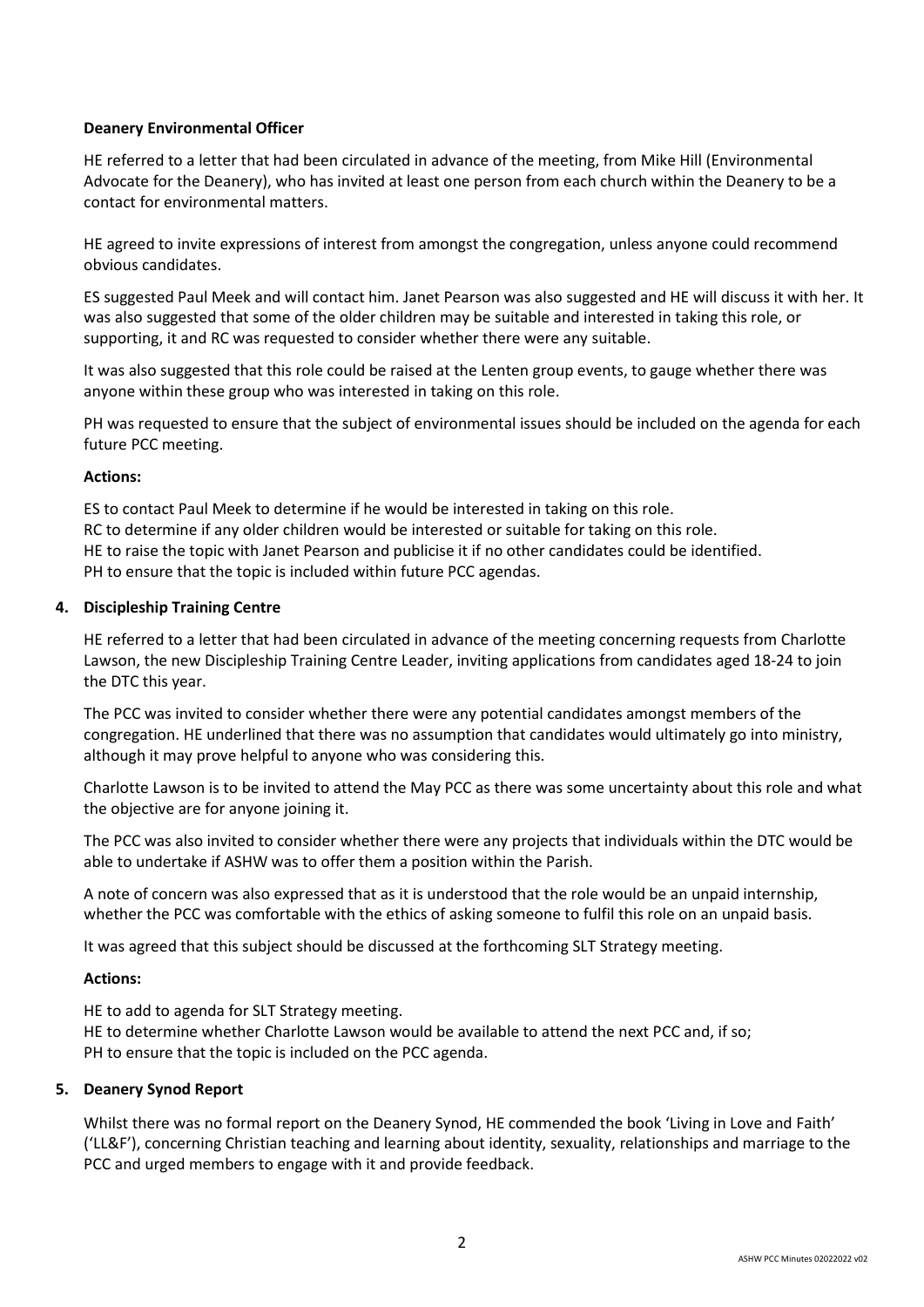## **Deanery Environmental Officer**

HE referred to a letter that had been circulated in advance of the meeting, from Mike Hill (Environmental Advocate for the Deanery), who has invited at least one person from each church within the Deanery to be a contact for environmental matters.

HE agreed to invite expressions of interest from amongst the congregation, unless anyone could recommend obvious candidates.

ES suggested Paul Meek and will contact him. Janet Pearson was also suggested and HE will discuss it with her. It was also suggested that some of the older children may be suitable and interested in taking this role, or supporting, it and RC was requested to consider whether there were any suitable.

It was also suggested that this role could be raised at the Lenten group events, to gauge whether there was anyone within these group who was interested in taking on this role.

PH was requested to ensure that the subject of environmental issues should be included on the agenda for each future PCC meeting.

#### **Actions:**

ES to contact Paul Meek to determine if he would be interested in taking on this role. RC to determine if any older children would be interested or suitable for taking on this role. HE to raise the topic with Janet Pearson and publicise it if no other candidates could be identified. PH to ensure that the topic is included within future PCC agendas.

#### **4. Discipleship Training Centre**

HE referred to a letter that had been circulated in advance of the meeting concerning requests from Charlotte Lawson, the new Discipleship Training Centre Leader, inviting applications from candidates aged 18-24 to join the DTC this year.

The PCC was invited to consider whether there were any potential candidates amongst members of the congregation. HE underlined that there was no assumption that candidates would ultimately go into ministry, although it may prove helpful to anyone who was considering this.

Charlotte Lawson is to be invited to attend the May PCC as there was some uncertainty about this role and what the objective are for anyone joining it.

The PCC was also invited to consider whether there were any projects that individuals within the DTC would be able to undertake if ASHW was to offer them a position within the Parish.

A note of concern was also expressed that as it is understood that the role would be an unpaid internship, whether the PCC was comfortable with the ethics of asking someone to fulfil this role on an unpaid basis.

It was agreed that this subject should be discussed at the forthcoming SLT Strategy meeting.

#### **Actions:**

HE to add to agenda for SLT Strategy meeting.

HE to determine whether Charlotte Lawson would be available to attend the next PCC and, if so; PH to ensure that the topic is included on the PCC agenda.

#### **5. Deanery Synod Report**

Whilst there was no formal report on the Deanery Synod, HE commended the book 'Living in Love and Faith' ('LL&F'), concerning Christian teaching and learning about identity, sexuality, relationships and marriage to the PCC and urged members to engage with it and provide feedback.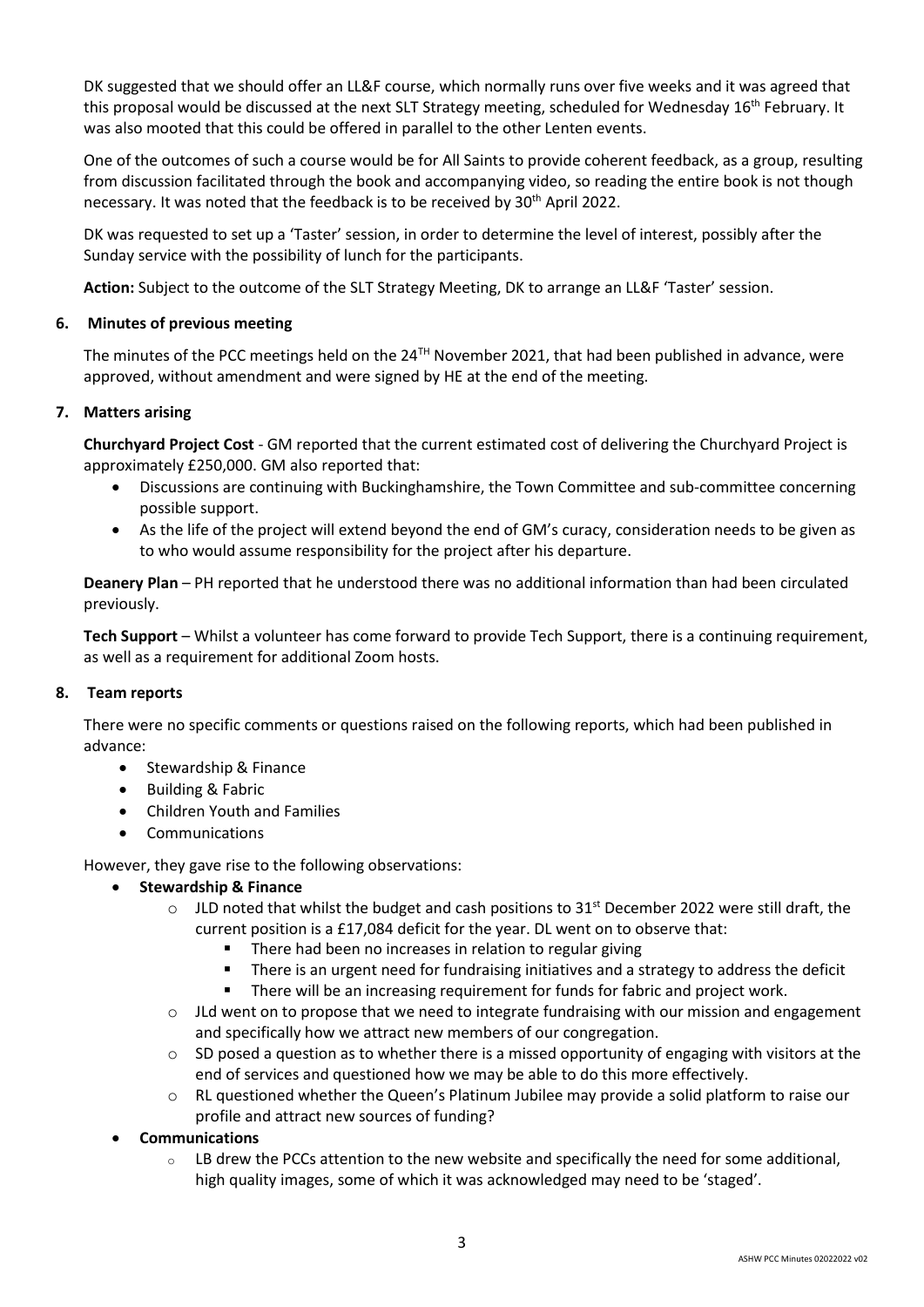DK suggested that we should offer an LL&F course, which normally runs over five weeks and it was agreed that this proposal would be discussed at the next SLT Strategy meeting, scheduled for Wednesday 16<sup>th</sup> February. It was also mooted that this could be offered in parallel to the other Lenten events.

One of the outcomes of such a course would be for All Saints to provide coherent feedback, as a group, resulting from discussion facilitated through the book and accompanying video, so reading the entire book is not though necessary. It was noted that the feedback is to be received by 30<sup>th</sup> April 2022.

DK was requested to set up a 'Taster' session, in order to determine the level of interest, possibly after the Sunday service with the possibility of lunch for the participants.

**Action:** Subject to the outcome of the SLT Strategy Meeting, DK to arrange an LL&F 'Taster' session.

## **6. Minutes of previous meeting**

The minutes of the PCC meetings held on the  $24^{TH}$  November 2021, that had been published in advance, were approved, without amendment and were signed by HE at the end of the meeting.

# **7. Matters arising**

**Churchyard Project Cost** - GM reported that the current estimated cost of delivering the Churchyard Project is approximately £250,000. GM also reported that:

- Discussions are continuing with Buckinghamshire, the Town Committee and sub-committee concerning possible support.
- As the life of the project will extend beyond the end of GM's curacy, consideration needs to be given as to who would assume responsibility for the project after his departure.

**Deanery Plan** – PH reported that he understood there was no additional information than had been circulated previously.

**Tech Support** – Whilst a volunteer has come forward to provide Tech Support, there is a continuing requirement, as well as a requirement for additional Zoom hosts.

#### **8. Team reports**

There were no specific comments or questions raised on the following reports, which had been published in advance:

- Stewardship & Finance
- Building & Fabric
- Children Youth and Families
- Communications

However, they gave rise to the following observations:

- **•** Stewardship & Finance
	- o JLD noted that whilst the budget and cash positions to 31<sup>st</sup> December 2022 were still draft, the current position is a £17,084 deficit for the year. DL went on to observe that:
		- There had been no increases in relation to regular giving
		- There is an urgent need for fundraising initiatives and a strategy to address the deficit
		- **There will be an increasing requirement for funds for fabric and project work.**
	- o JLd went on to propose that we need to integrate fundraising with our mission and engagement and specifically how we attract new members of our congregation.
	- $\circ$  SD posed a question as to whether there is a missed opportunity of engaging with visitors at the end of services and questioned how we may be able to do this more effectively.
	- o RL questioned whether the Queen's Platinum Jubilee may provide a solid platform to raise our profile and attract new sources of funding?
- **Communications**
	- $\circ$  LB drew the PCCs attention to the new website and specifically the need for some additional, high quality images, some of which it was acknowledged may need to be 'staged'.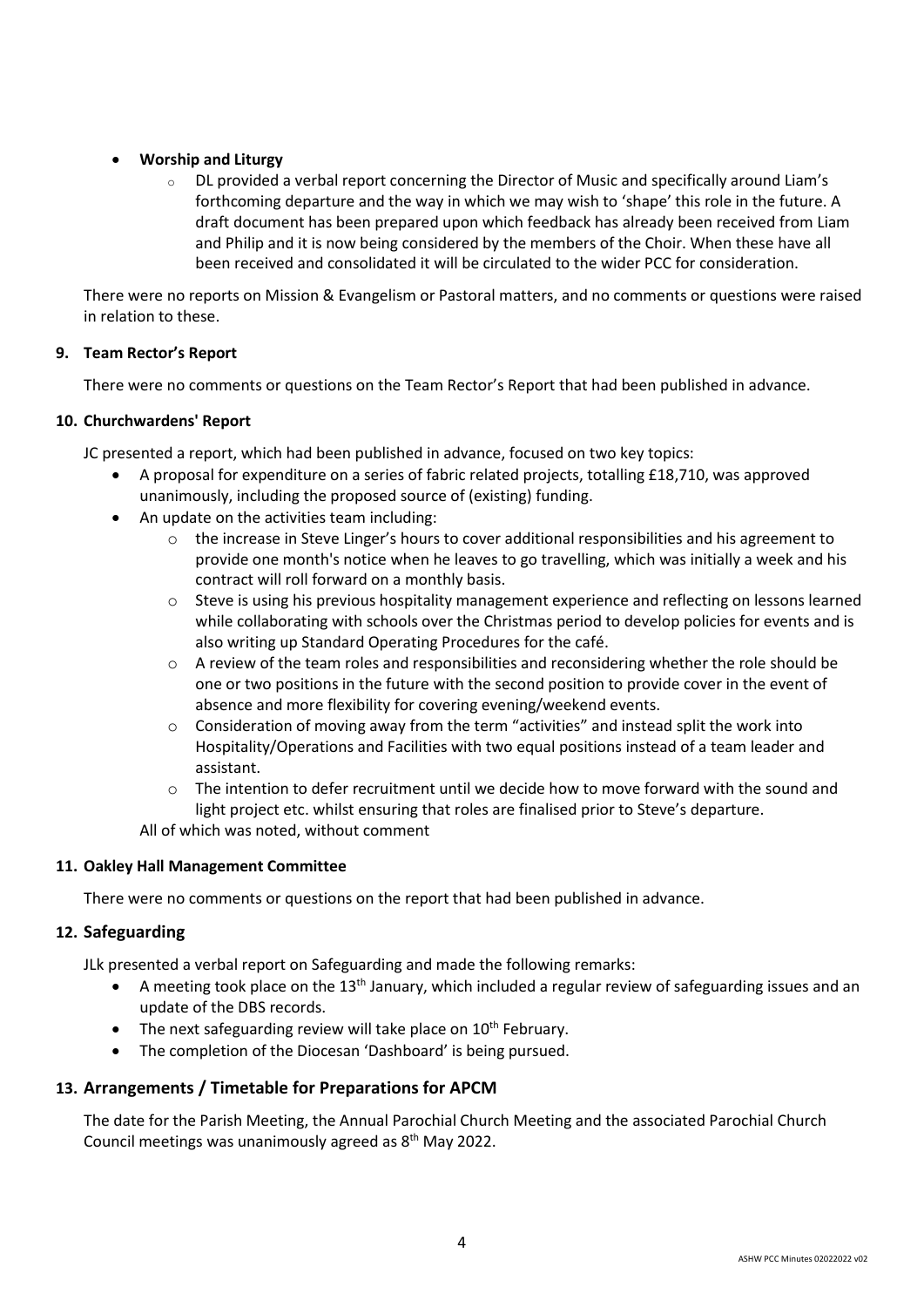# **Worship and Liturgy**

 $\circ$  DL provided a verbal report concerning the Director of Music and specifically around Liam's forthcoming departure and the way in which we may wish to 'shape' this role in the future. A draft document has been prepared upon which feedback has already been received from Liam and Philip and it is now being considered by the members of the Choir. When these have all been received and consolidated it will be circulated to the wider PCC for consideration.

There were no reports on Mission & Evangelism or Pastoral matters, and no comments or questions were raised in relation to these.

## **9. Team Rector's Report**

There were no comments or questions on the Team Rector's Report that had been published in advance.

## **10. Churchwardens' Report**

JC presented a report, which had been published in advance, focused on two key topics:

- A proposal for expenditure on a series of fabric related projects, totalling £18,710, was approved unanimously, including the proposed source of (existing) funding.
- An update on the activities team including:
	- $\circ$  the increase in Steve Linger's hours to cover additional responsibilities and his agreement to provide one month's notice when he leaves to go travelling, which was initially a week and his contract will roll forward on a monthly basis.
	- o Steve is using his previous hospitality management experience and reflecting on lessons learned while collaborating with schools over the Christmas period to develop policies for events and is also writing up Standard Operating Procedures for the café.
	- $\circ$  A review of the team roles and responsibilities and reconsidering whether the role should be one or two positions in the future with the second position to provide cover in the event of absence and more flexibility for covering evening/weekend events.
	- $\circ$  Consideration of moving away from the term "activities" and instead split the work into Hospitality/Operations and Facilities with two equal positions instead of a team leader and assistant.
	- $\circ$  The intention to defer recruitment until we decide how to move forward with the sound and light project etc. whilst ensuring that roles are finalised prior to Steve's departure.

All of which was noted, without comment

#### **11. Oakley Hall Management Committee**

There were no comments or questions on the report that had been published in advance.

# **12. Safeguarding**

JLk presented a verbal report on Safeguarding and made the following remarks:

- A meeting took place on the 13<sup>th</sup> January, which included a regular review of safeguarding issues and an update of the DBS records.
- The next safeguarding review will take place on  $10^{th}$  February.
- The completion of the Diocesan 'Dashboard' is being pursued.

# **13. Arrangements / Timetable for Preparations for APCM**

The date for the Parish Meeting, the Annual Parochial Church Meeting and the associated Parochial Church Council meetings was unanimously agreed as 8th May 2022.